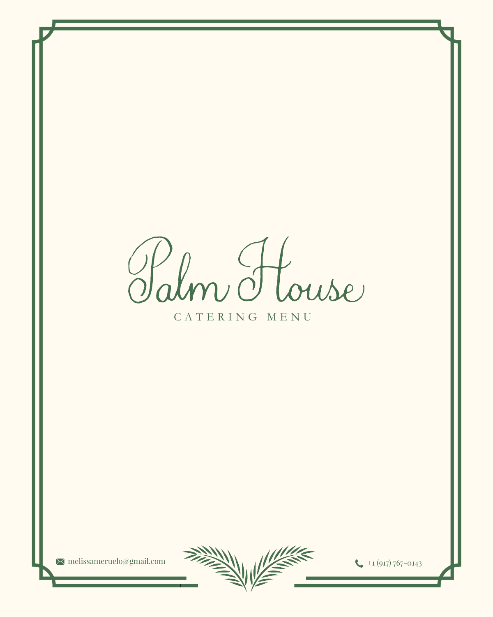Halm House

CATERING MENU

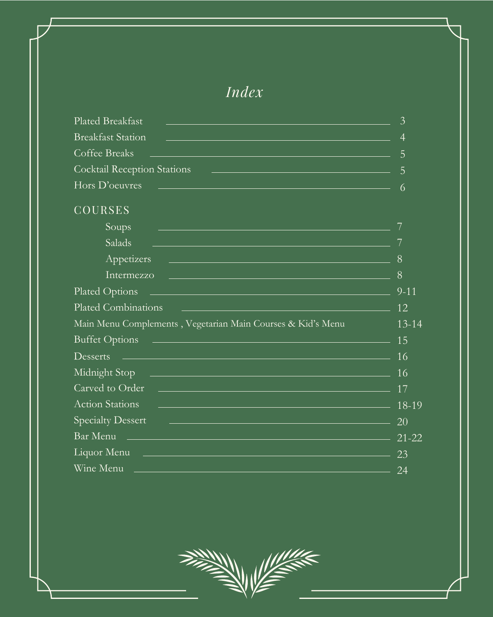| Plated Breakfast<br>a de la construcción de la construcción de la construcción de la construcción de la construcción de la construc                                                                                           | $\mathcal{E}$  |
|-------------------------------------------------------------------------------------------------------------------------------------------------------------------------------------------------------------------------------|----------------|
| <b>Breakfast Station</b><br><u> 1989 - Andrea Stadt Germany, amerikansk politik (d. 1989)</u>                                                                                                                                 | $\overline{4}$ |
| Coffee Breaks<br><u> 1989 - Andrea Santa Andrea Andrea Andrea Andrea Andrea Andrea Andrea Andrea Andrea Andrea Andrea Andrea Andr</u>                                                                                         | 5              |
| <b>Cocktail Reception Stations</b><br><u> 1989 - Jan Samuel Barbara, margaret eta biztanleria (h. 1989).</u>                                                                                                                  | 5              |
| Hors D'oeuvres<br>a de la construcción de la construcción de la construcción de la construcción de la construcción de la construc                                                                                             | $\overline{6}$ |
| <b>COURSES</b>                                                                                                                                                                                                                |                |
| Soups<br><u> 1989 - Jan Samuel Barbara, menyebaran sebagai sebagai sebagai sebagai sebagai sebagai sebagai sebagai sebagai</u>                                                                                                |                |
| Salads<br>r a chantar an chantar ann an chantar an chantar ann an chantar an chantar ann an chantar an chantar ann an ch                                                                                                      |                |
| Appetizers<br><u> 1980 - Andrea Barbara, Amerikaansk politik (* 1950)</u>                                                                                                                                                     | 8              |
| Intermezzo<br><u> 1980 - Jan Barat de Barat de la Barat de la Barat de la Barat de la Barat de la Barat de la Barat de la Bara</u>                                                                                            | 8              |
| Plated Options 2007 and 2008 and 2008 and 2008 and 2008 and 2008 and 2008 and 2008 and 2008 and 2008 and 2008 and 2008 and 2008 and 2008 and 2008 and 2008 and 2008 and 2008 and 2008 and 2008 and 2008 and 2008 and 2008 and | $9 - 11$       |
| Plated Combinations                                                                                                                                                                                                           | 12             |
| Main Menu Complements, Vegetarian Main Courses & Kid's Menu                                                                                                                                                                   | $13 - 14$      |
| Buffet Options 15                                                                                                                                                                                                             |                |
| $D \text{esserts}$ $\qquad \qquad$ 16                                                                                                                                                                                         |                |
|                                                                                                                                                                                                                               |                |
|                                                                                                                                                                                                                               |                |
| Action Stations 2008 2019                                                                                                                                                                                                     |                |
| $\frac{1}{20}$ and $\frac{1}{20}$ and $\frac{1}{20}$ and $\frac{1}{20}$ and $\frac{1}{20}$ and $\frac{1}{20}$<br><b>Specialty Dessert</b>                                                                                     |                |
| Bar Menu $2\overline{1}$ -22                                                                                                                                                                                                  |                |
| Liquor Menu 23                                                                                                                                                                                                                |                |
| Wine Menu 24                                                                                                                                                                                                                  |                |



### *Index*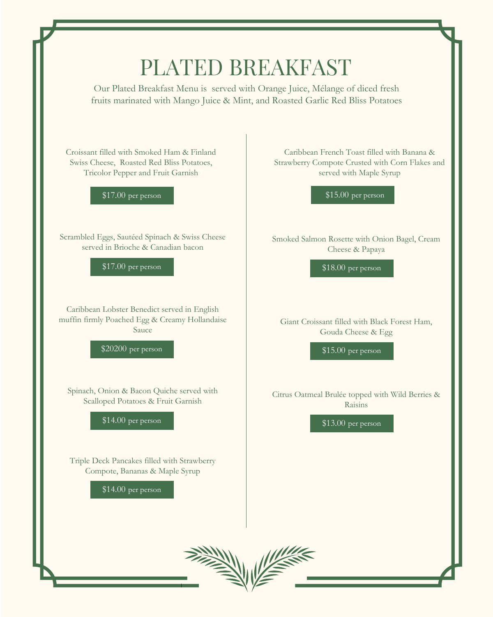# PLATED BREAKFAST

Croissant filled with Smoked Ham & Finland Swiss Cheese, Roasted Red Bliss Potatoes, Tricolor Pepper and Fruit Garnish

\$17.00 per person

Caribbean French Toast filled with Banana & Strawberry Compote Crusted with Corn Flakes and served with Maple Syrup

\$15.00 per person

Smoked Salmon Rosette with Onion Bagel, Cream Cheese & Papaya

\$18.00 per person

Giant Croissant filled with Black Forest Ham, Gouda Cheese & Egg

\$15.00 per person

Citrus Oatmeal Brulée topped with Wild Berries & Raisins

\$13.00 per person

Scrambled Eggs, Sautéed Spinach & Swiss Cheese served in Brioche & Canadian bacon

\$17.00 per person

Caribbean Lobster Benedict served in English muffin firmly Poached Egg & Creamy Hollandaise Sauce

\$20200 per person

Spinach, Onion & Bacon Quiche served with Scalloped Potatoes & Fruit Garnish

\$14.00 per person

Our Plated Breakfast Menu is served with Orange Juice, Mélange of diced fresh fruits marinated with Mango Juice & Mint, and Roasted Garlic Red Bliss Potatoes

Triple Deck Pancakes filled with Strawberry Compote, Bananas & Maple Syrup

\$14.00 per person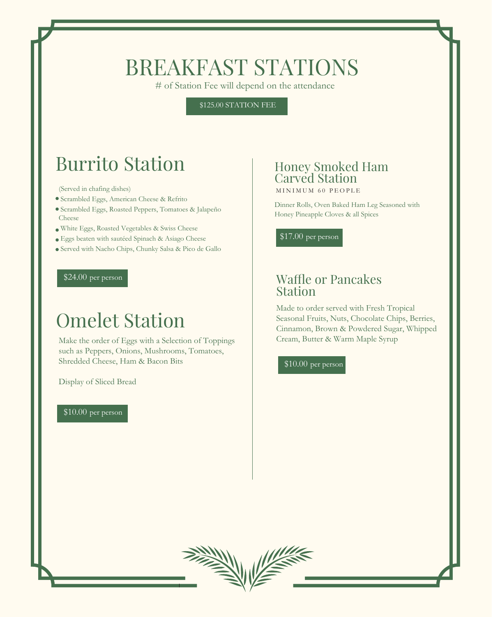# BREAKFAST STATIONS

# of Station Fee will depend on the attendance

# Burrito Station

(Served in chafing dishes)

- Scrambled Eggs, American Cheese & Refrito
- Scrambled Eggs, Roasted Peppers, Tomatoes & Jalapeño Cheese
- White Eggs, Roasted Vegetables & Swiss Cheese
- Eggs beaten with sautéed Spinach & Asiago Cheese
- Served with Nacho Chips, Chunky Salsa & Pico de Gallo

### Honey Smoked Ham Carved Station

### Waffle or Pancakes Station

Dinner Rolls, Oven Baked Ham Leg Seasoned with Honey Pineapple Cloves & all Spices

\$17.00 per person

MINIMUM 60 PEOPLE

\$125.00 STATION FEE

#### \$24.00 per person

# Omelet Station

Make the order of Eggs with a Selection of Toppings such as Peppers, Onions, Mushrooms, Tomatoes, Shredded Cheese, Ham & Bacon Bits

#### Display of Sliced Bread





Made to order served with Fresh Tropical Seasonal Fruits, Nuts, Chocolate Chips, Berries, Cinnamon, Brown & Powdered Sugar, Whipped Cream, Butter & Warm Maple Syrup

#### \$10.00 per person

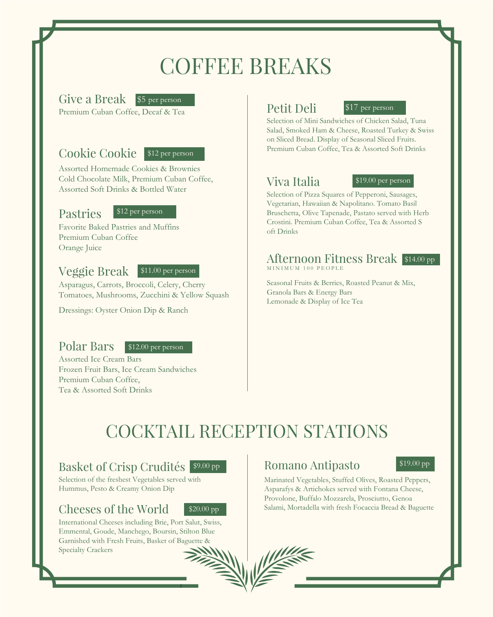# COFFEE BREAKS

#### Give a Break \$5 per person Premium Cuban Coffee, Decaf & Tea

# COCKTAIL RECEPTION STATIONS

### Basket of Crisp Crudités \$9.00 pp



### Cookie Cookie \$12 per person

Assorted Homemade Cookies & Brownies Cold Chocolate Milk, Premium Cuban Coffee, Assorted Soft Drinks & Bottled Water

#### \$12 per person

#### \$11.00 per person



#### Pastries

Favorite Baked Pastries and Muffins Premium Cuban Coffee Orange Juice

### Veggie Break

Asparagus, Carrots, Broccoli, Celery, Cherry Tomatoes, Mushrooms, Zucchini & Yellow Squash

Dressings: Oyster Onion Dip & Ranch

#### Polar Bars

Assorted Ice Cream Bars Frozen Fruit Bars, Ice Cream Sandwiches Premium Cuban Coffee,

#### Tea & Assorted Soft Drinks



Selection of the freshest Vegetables served with Hummus, Pesto & Creamy Onion Dip

### Cheeses of the World

International Cheeses including Brie, Port Salut, Swiss, Emmental, Goude, Manchego, Boursin, Stilton Blue Garnished with Fresh Fruits, Basket of Baguette & Specialty Crackers

### Romano Antipasto  $$^{419.00}$  pp



#### Afternoon Fitness Break \$14.00 pp MINIMUM 100 PEOPLE

### Petit Deli

### Viva Italia

Selection of Mini Sandwiches of Chicken Salad, Tuna Salad, Smoked Ham & Cheese, Roasted Turkey & Swiss on Sliced Bread. Display of Seasonal Sliced Fruits. Premium Cuban Coffee, Tea & Assorted Soft Drinks



Selection of Pizza Squares of Pepperoni, Sausages, Vegetarian, Hawaiian & Napolitano. Tomato Basil Bruschetta, Olive Tapenade, Pastato served with Herb Crostini. Premium Cuban Coffee, Tea & Assorted S oft Drinks

#### \$19.00 per person

Seasonal Fruits & Berries, Roasted Peanut & Mix, Granola Bars & Energy Bars Lemonade & Display of Ice Tea

Marinated Vegetables, Stuffed Olives, Roasted Peppers, Asparafys & Artichokes served with Fontana Cheese, Provolone, Buffalo Mozzarela, Prosciutto, Genoa Salami, Mortadella with fresh Focaccia Bread & Baguette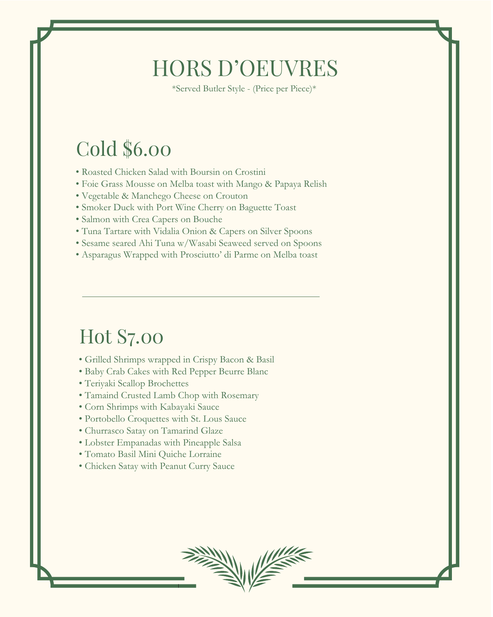- Grilled Shrimps wrapped in Crispy Bacon & Basil
- Baby Crab Cakes with Red Pepper Beurre Blanc
- Teriyaki Scallop Brochettes
- 
- Tamaind Crusted Lamb Chop with Rosemary
- Corn Shrimps with Kabayaki Sauce
- Portobello Croquettes with St. Lous Sauce
- Churrasco Satay on Tamarind Glaze
- Lobster Empanadas with Pineapple Salsa
- Tomato Basil Mini Quiche Lorraine
- Chicken Satay with Peanut Curry Sauce
- Roasted Chicken Salad with Boursin on Crostini
- Foie Grass Mousse on Melba toast with Mango & Papaya Relish
- Vegetable & Manchego Cheese on Crouton
- Smoker Duck with Port Wine Cherry on Baguette Toast
- Salmon with Crea Capers on Bouche
- Tuna Tartare with Vidalia Onion & Capers on Silver Spoons
- Sesame seared Ahi Tuna w/Wasabi Seaweed served on Spoons
- Asparagus Wrapped with Prosciutto' di Parme on Melba toast

# HORS D'OEUVRES

# Cold \$6.00

# Hot S7.00

\*Served Butler Style - (Price per Piece)\*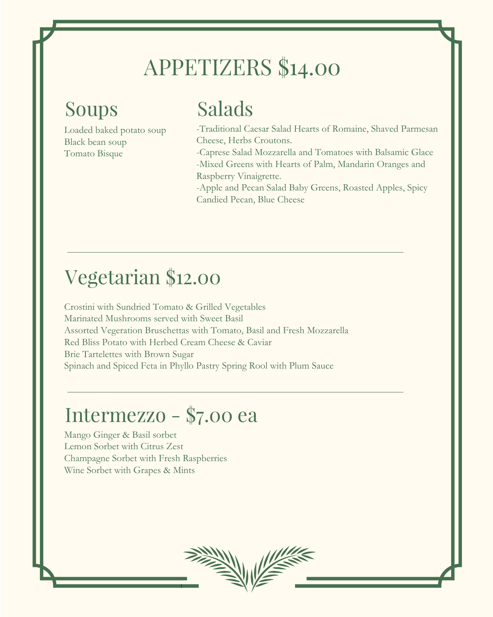Loaded baked potato soup Black bean soup Tomato Bisque

# APPETIZERS \$14.00

# Soups

-Traditional Caesar Salad Hearts of Romaine, Shaved Parmesan Cheese, Herbs Croutons. -Caprese Salad Mozzarella and Tomatoes with Balsamic Glace -Mixed Greens with Hearts of Palm, Mandarin Oranges and Raspberry Vinaigrette. -Apple and Pecan Salad Baby Greens, Roasted Apples, Spicy

Candied Pecan, Blue Cheese

# Salads

Crostini with Sundried Tomato & Grilled Vegetables Marinated Mushrooms served with Sweet Basil Assorted Vegeration Bruschettas with Tomato, Basil and Fresh Mozzarella Red Bliss Potato with Herbed Cream Cheese & Caviar Brie Tartelettes with Brown Sugar Spinach and Spiced Feta in Phyllo Pastry Spring Rool with Plum Sauce

# Vegetarian \$12.00

Mango Ginger & Basil sorbet Lemon Sorbet with Citrus Zest Champagne Sorbet with Fresh Raspberries Wine Sorbet with Grapes & Mints



# Intermezzo - \$7.00 ea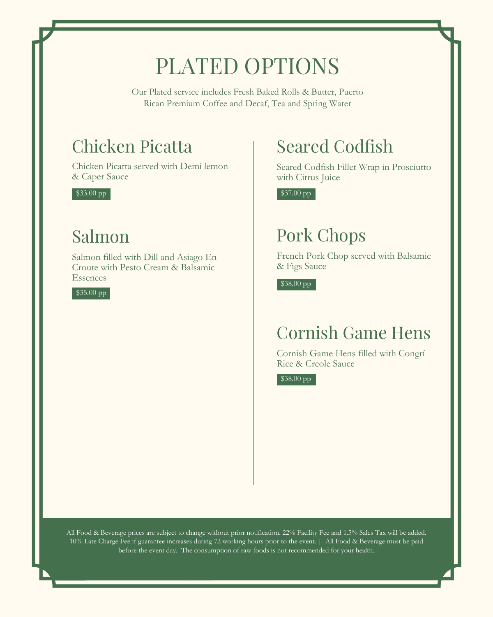\$33.00 pp

# PLATED OPTIONS

### Chicken Picatta

Chicken Picatta served with Demi lemon & Caper Sauce

\$37.00 pp

# Seared Codfish

Seared Codfish Fillet Wrap in Prosciutto with Citrus Juice

\$38.00 pp

#### \$38.00 pp

# Pork Chops

French Pork Chop served with Balsamic & Figs Sauce

#### \$35.00 pp

# Salmon

Salmon filled with Dill and Asiago En Croute with Pesto Cream & Balsamic Essences

Our Plated service includes Fresh Baked Rolls & Butter, Puerto Rican Premium Coffee and Decaf, Tea and Spring Water

All Food & Beverage prices are subject to change without prior notification. 22% Facility Fee and 1.5% Sales Tax will be added. 10% Late Charge Fee if guarantee increases during 72 working hours prior to the event. | All Food & Beverage must be paid before the event day. The consumption of raw foods is not recommended for your health.

# Cornish Game Hens

Cornish Game Hens filled with Congrí Rice & Creole Sauce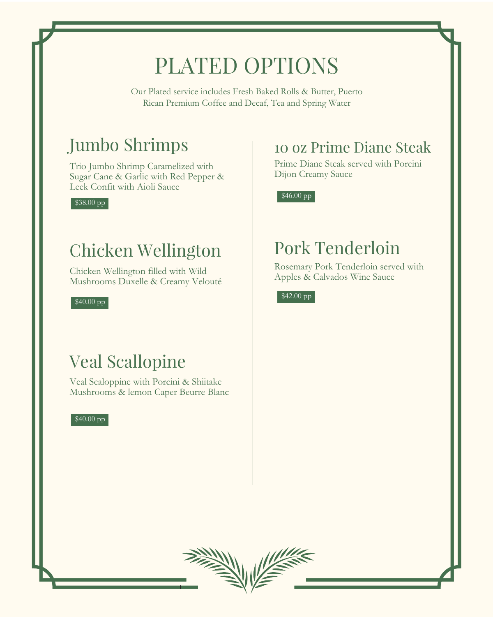# PLATED OPTIONS

Our Plated service includes Fresh Baked Rolls & Butter, Puerto Rican Premium Coffee and Decaf, Tea and Spring Water

#### \$40.00 pp



# Jumbo Shrimps

Trio Jumbo Shrimp Caramelized with Sugar Cane & Garlic with Red Pepper & Leek Confit with Aioli Sauce

### 10 oz Prime Diane Steak

Prime Diane Steak served with Porcini Dijon Creamy Sauce

 $$38.00 pp$  \$46.00 pp

# Pork Tenderloin

Rosemary Pork Tenderloin served with Apples & Calvados Wine Sauce

 $$40.00$  pp  $$42.00$  pp

### Chicken Wellington

Chicken Wellington filled with Wild Mushrooms Duxelle & Creamy Velouté

# Veal Scallopine

Veal Scaloppine with Porcini & Shiitake Mushrooms & lemon Caper Beurre Blanc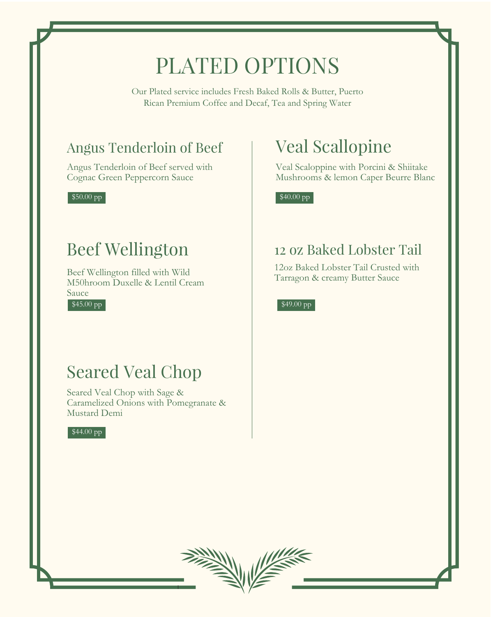# PLATED OPTIONS

Our Plated service includes Fresh Baked Rolls & Butter, Puerto Rican Premium Coffee and Decaf, Tea and Spring Water

\$50.00 pp







\$49.00 pp

\$40.00 pp

### Angus Tenderloin of Beef

Angus Tenderloin of Beef served with Cognac Green Peppercorn Sauce

# Beef Wellington

Beef Wellington filled with Wild M50hroom Duxelle & Lentil Cream Sauce

### 12 oz Baked Lobster Tail

12oz Baked Lobster Tail Crusted with Tarragon & creamy Butter Sauce

# Seared Veal Chop

Seared Veal Chop with Sage & Caramelized Onions with Pomegranate & Mustard Demi

# Veal Scallopine

Veal Scaloppine with Porcini & Shiitake Mushrooms & lemon Caper Beurre Blanc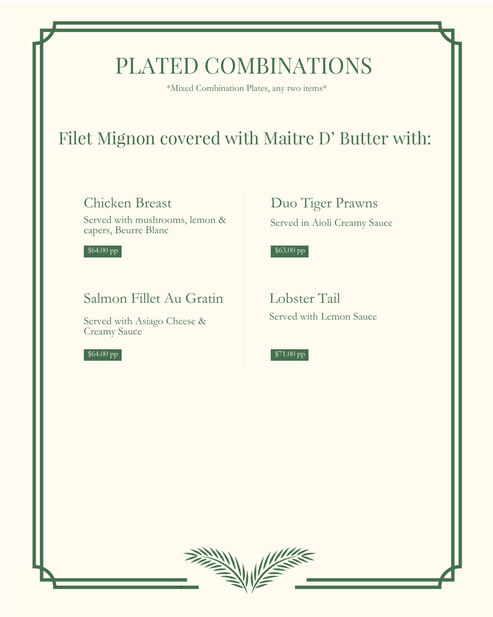\$64.00 pp

\$64.00 pp



#### \$63.00 pp



# Filet Mignon covered with Maitre D' Butter with:

# PLATED COMBINATIONS

### Chicken Breast

Served with mushrooms, lemon & capers, Beurre Blanc

### Salmon Fillet Au Gratin

Served with Asiago Cheese & Creamy Sauce

Lobster Tail Served with Lemon Sauce



Served in Aioli Creamy Sauce

\*Mixed Combination Plates, any two items\*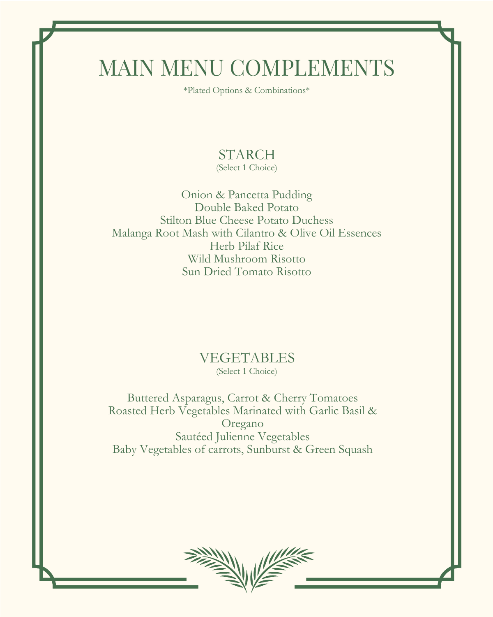# MAIN MENU COMPLEMENTS

Onion & Pancetta Pudding Double Baked Potato Stilton Blue Cheese Potato Duchess Malanga Root Mash with Cilantro & Olive Oil Essences Herb Pilaf Rice Wild Mushroom Risotto Sun Dried Tomato Risotto

STARCH (Select 1 Choice)

\*Plated Options & Combinations\*



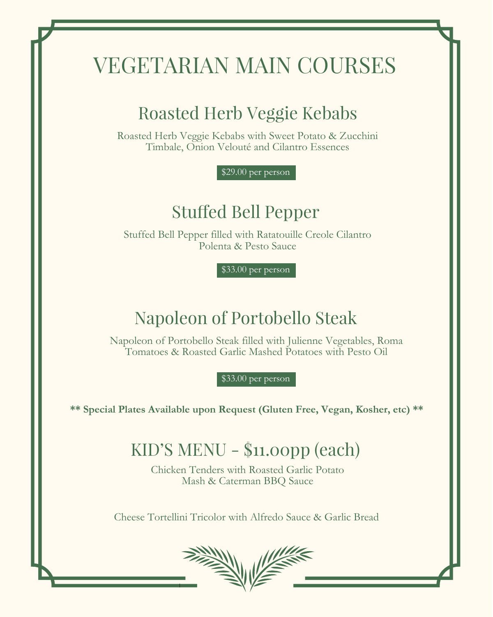\$33.00 per person

\$29.00 per person

# Stuffed Bell Pepper

**\*\* Special Plates Available upon Request (Gluten Free, Vegan, Kosher, etc) \*\***

# Roasted Herb Veggie Kebabs

# VEGETARIAN MAIN COURSES

# KID'S MENU - \$11.00pp (each)

Roasted Herb Veggie Kebabs with Sweet Potato & Zucchini Timbale, Onion Velouté and Cilantro Essences

Stuffed Bell Pepper filled with Ratatouille Creole Cilantro Polenta & Pesto Sauce

# Napoleon of Portobello Steak

Napoleon of Portobello Steak filled with Julienne Vegetables, Roma Tomatoes & Roasted Garlic Mashed Potatoes with Pesto Oil

\$33.00 per person

Chicken Tenders with Roasted Garlic Potato Mash & Caterman BBQ Sauce

Cheese Tortellini Tricolor with Alfredo Sauce & Garlic Bread

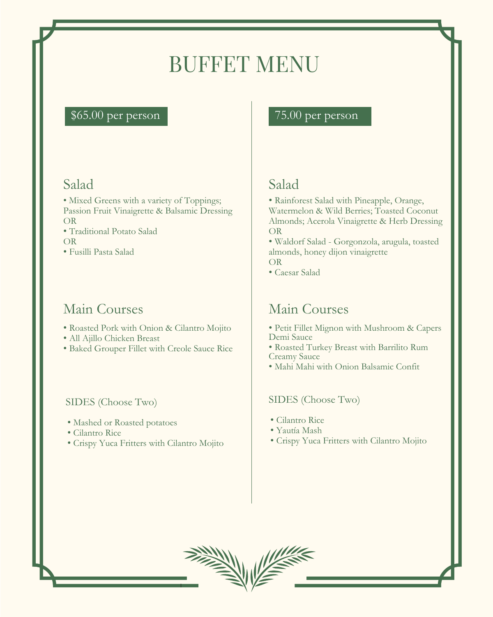### \$65.00 per person 75.00 per person

# BUFFET MENU

### Salad

- Mixed Greens with a variety of Toppings; Passion Fruit Vinaigrette & Balsamic Dressing OR
- Traditional Potato Salad

#### OR

• Fusilli Pasta Salad

### Main Courses

- Roasted Pork with Onion & Cilantro Mojito
- All Ajillo Chicken Breast
- Baked Grouper Fillet with Creole Sauce Rice

### Salad

- Rainforest Salad with Pineapple, Orange, Watermelon & Wild Berries; Toasted Coconut Almonds; Acerola Vinaigrette & Herb Dressing OR
- Waldorf Salad Gorgonzola, arugula, toasted almonds, honey dijon vinaigrette OR
- Caesar Salad

### Main Courses

#### SIDES (Choose Two)

- Petit Fillet Mignon with Mushroom & Capers Demi Sauce
- Roasted Turkey Breast with Barrilito Rum Creamy Sauce
- Mahi Mahi with Onion Balsamic Confit

- Cilantro Rice
- Yautía Mash
- Crispy Yuca Fritters with Cilantro Mojito



#### SIDES (Choose Two)

- Mashed or Roasted potatoes
- Cilantro Rice
- Crispy Yuca Fritters with Cilantro Mojito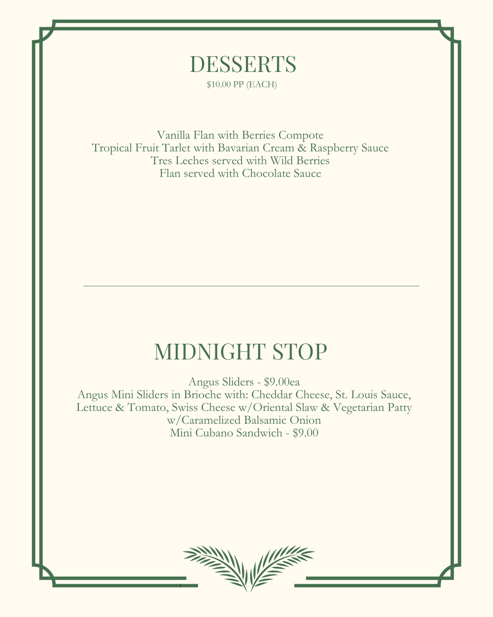Vanilla Flan with Berries Compote Tropical Fruit Tarlet with Bavarian Cream & Raspberry Sauce Tres Leches served with Wild Berries Flan served with Chocolate Sauce

Angus Sliders - \$9.00ea

Angus Mini Sliders in Brioche with: Cheddar Cheese, St. Louis Sauce, Lettuce & Tomato, Swiss Cheese w/Oriental Slaw & Vegetarian Patty w/Caramelized Balsamic Onion Mini Cubano Sandwich - \$9.00

# MIDNIGHT STOP

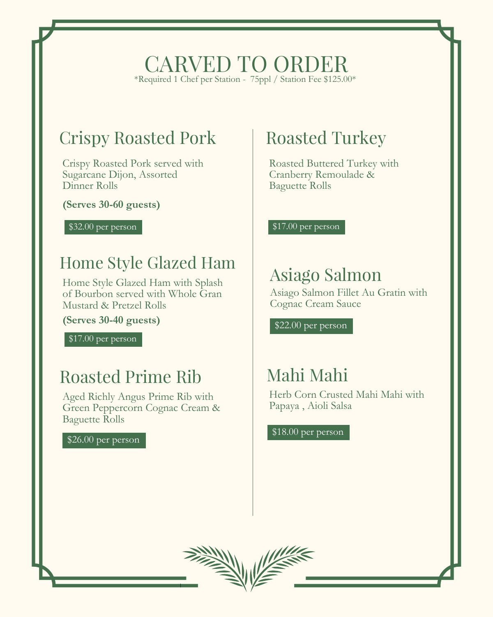# Crispy Roasted Pork

Crispy Roasted Pork served with Sugarcane Dijon, Assorted Dinner Rolls

### CARVED TO ORDER \*Required 1 Chef per Station - 75ppl / Station Fee \$125.00\*

**(Serves 30-60 guests)**

**(Serves 30-40 guests)**

### Home Style Glazed Ham

Home Style Glazed Ham with Splash of Bourbon served with Whole Gran Mustard & Pretzel Rolls

### Roasted Prime Rib

Aged Richly Angus Prime Rib with Green Peppercorn Cognac Cream & Baguette Rolls

# Asiago Salmon

Asiago Salmon Fillet Au Gratin with Cognac Cream Sauce

# Roasted Turkey

Roasted Buttered Turkey with Cranberry Remoulade & Baguette Rolls

\$17.00 per person

### Mahi Mahi

Herb Corn Crusted Mahi Mahi with Papaya , Aioli Salsa

 $$26.00$  per person  $$18.00$  per person



\$32.00 per person

\$17.00 per person

\$22.00 per person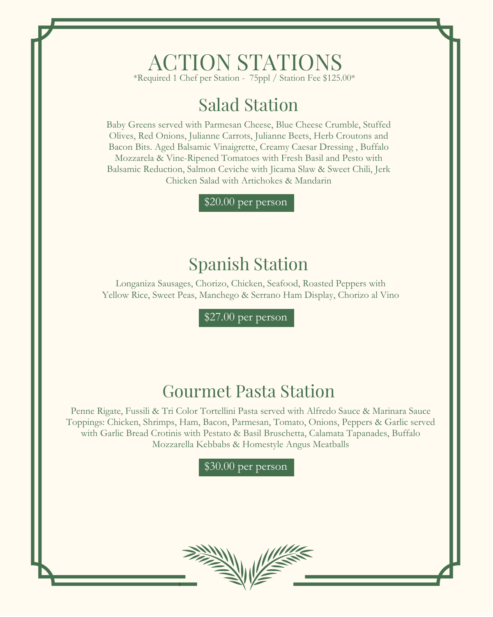### ACTION STATIONS \*Required 1 Chef per Station - 75ppl / Station Fee \$125.00\*

# Salad Station

Baby Greens served with Parmesan Cheese, Blue Cheese Crumble, Stuffed Olives, Red Onions, Julianne Carrots, Julianne Beets, Herb Croutons and Bacon Bits. Aged Balsamic Vinaigrette, Creamy Caesar Dressing , Buffalo Mozzarela & Vine-Ripened Tomatoes with Fresh Basil and Pesto with Balsamic Reduction, Salmon Ceviche with Jicama Slaw & Sweet Chili, Jerk Chicken Salad with Artichokes & Mandarin

### Spanish Station

Longaniza Sausages, Chorizo, Chicken, Seafood, Roasted Peppers with Yellow Rice, Sweet Peas, Manchego & Serrano Ham Display, Chorizo al Vino

### Gourmet Pasta Station

Penne Rigate, Fussili & Tri Color Tortellini Pasta served with Alfredo Sauce & Marinara Sauce Toppings: Chicken, Shrimps, Ham, Bacon, Parmesan, Tomato, Onions, Peppers & Garlic served with Garlic Bread Crotinis with Pestato & Basil Bruschetta, Calamata Tapanades, Buffalo Mozzarella Kebbabs & Homestyle Angus Meatballs

\$30.00 per person



\$27.00 per person

\$20.00 per person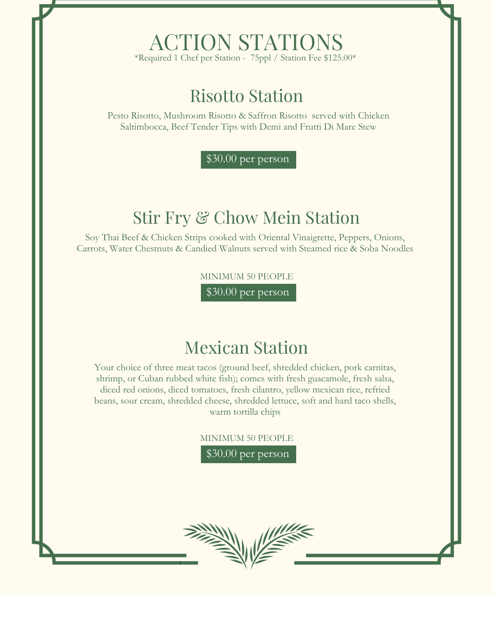### ACTION STATIONS \*Required 1 Chef per Station - 75ppl / Station Fee \$125.00\*

MINIMUM 50 PEOPLE

### Risotto Station

Pesto Risotto, Mushroom Risotto & Saffron Risotto served with Chicken Saltimbocca, Beef Tender Tips with Demi and Frutti Di Mare Stew

# Stir Fry & Chow Mein Station

Soy Thai Beef & Chicken Strips cooked with Oriental Vinaigrette, Peppers, Onions, Carrots, Water Chestnuts & Candied Walnuts served with Steamed rice & Soba Noodles

\$30.00 per person

MINIMUM 50 PEOPLE

# Mexican Station

Your choice of three meat tacos (ground beef, shredded chicken, pork carnitas, shrimp, or Cuban rubbed white fish); comes with fresh guacamole, fresh salsa,

diced red onions, diced tomatoes, fresh cilantro, yellow mexican rice, refried beans, sour cream, shredded cheese, shredded lettuce, soft and hard taco shells, warm tortilla chips

\$30.00 per person



\$30.00 per person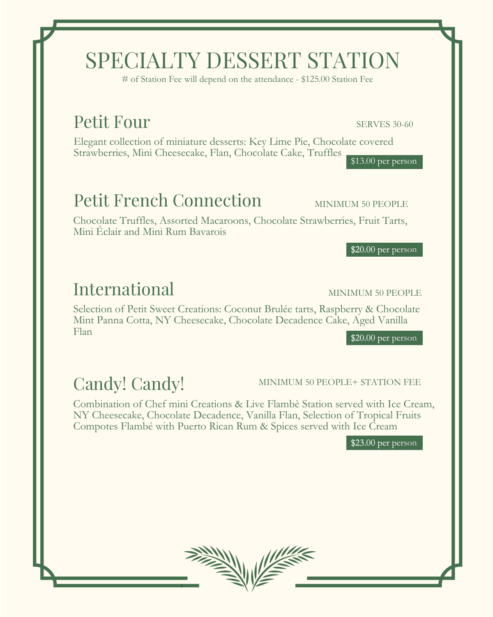Elegant collection of miniature desserts: Key Lime Pie, Chocolate covered Strawberries, Mini Cheesecake, Flan, Chocolate Cake, Truffles  $\sqrt{$13.00}$  per person

# Petit French Connection MINIMUM 50 PEOPLE

# SPECIALTY DESSERT STATION

# of Station Fee will depend on the attendance - \$125.00 Station Fee

### Petit Four SERVES 30-60

Chocolate Truffles, Assorted Macaroons, Chocolate Strawberries, Fruit Tarts, Mini Éclair and Mini Rum Bavarois

\$20.00 per person

# International MINIMUM 50 PEOPLE

Selection of Petit Sweet Creations: Coconut Brulée tarts, Raspberry & Chocolate Mint Panna Cotta, NY Cheesecake, Chocolate Decadence Cake, Aged Vanilla Flan

Combination of Chef mini Creations & Live Flambè Station served with Ice Cream, NY Cheesecake, Chocolate Decadence, Vanilla Flan, Selection of Tropical Fruits Compotes Flambé with Puerto Rican Rum & Spices served with Ice Cream

\$23.00 per person



\$20.00 per person

### Candy! Candy! MINIMUM 50 PEOPLE+ STATION FEE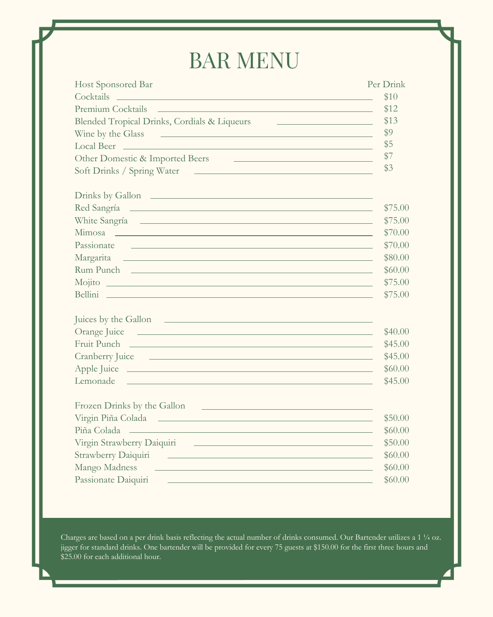# BAR MENU

| <b>Host Sponsored Bar</b>                                                                                                                                                                                                                             | Per Drink                                                   |
|-------------------------------------------------------------------------------------------------------------------------------------------------------------------------------------------------------------------------------------------------------|-------------------------------------------------------------|
| Cocktails contract to the contract of the contract of the contract of the contract of the contract of the contract of the contract of the contract of the contract of the contract of the contract of the contract of the cont                        | \$10                                                        |
| <b>Premium Cocktails</b><br><u> 1980 - Andrea Stadt Britain, amerikansk fotograf i den stadt fotograf i den stadt fotograf i den stadt fotogr</u>                                                                                                     | \$12                                                        |
| Blended Tropical Drinks, Cordials & Liqueurs                                                                                                                                                                                                          | \$13<br><u> 1980 - Andrea Station, amerikansk politik (</u> |
| Wine by the Glass<br>a se de la construcción de la construcción de la construcción de la construcción de la construcción de la cons<br>En la construcción de la construcción de la construcción de la construcción de la construcción de la construcc | \$9                                                         |
| Local Beer<br><u> 1989 - Andrea Stadt Britain, amerikansk politik (* 1989)</u>                                                                                                                                                                        | $\sqrt$5$                                                   |
| Other Domestic & Imported Beers<br><u> 1989 - Andrea Stadt Britain, amerikansk politik (* 1958)</u>                                                                                                                                                   | \$7                                                         |
|                                                                                                                                                                                                                                                       | \$3                                                         |
| Drinks by Gallon                                                                                                                                                                                                                                      |                                                             |
| Red Sangría <u>entre establecer a la contrada de la contrada de la contrada de la contrada de la contrada de la contrada de la contrada de la contrada de la contrada de la contrada de la contrada de la contrada de la contrad</u>                  | \$75.00                                                     |
| White Sangría 2007                                                                                                                                                                                                                                    | \$75.00                                                     |
| Mimosa experience and the contract of the contract of the contract of the contract of the contract of the contract of the contract of the contract of the contract of the contract of the contract of the contract of the cont                        | \$70.00                                                     |
| Passionate<br><u> 1980 - Andrea Santa Carlos III, amerikano kaj la provincia de la provincia de la provincia de la provincia d</u>                                                                                                                    | \$70.00                                                     |
| Margarita<br><u> 1980 - Andrea Station Barbara, actor a component de la componentación de la componentación de la componentaci</u>                                                                                                                    | \$80.00                                                     |
| Rum Punch                                                                                                                                                                                                                                             | \$60.00                                                     |
|                                                                                                                                                                                                                                                       | \$75.00                                                     |
| Bellini                                                                                                                                                                                                                                               | \$75.00                                                     |
| Juices by the Gallon                                                                                                                                                                                                                                  |                                                             |
|                                                                                                                                                                                                                                                       | \$40.00                                                     |
| Fruit Punch                                                                                                                                                                                                                                           | \$45.00                                                     |
|                                                                                                                                                                                                                                                       | \$45.00                                                     |
|                                                                                                                                                                                                                                                       | \$60.00                                                     |
| Lemonade <u>experience</u> experience and the contract of the contract of the contract of the contract of the contract of the contract of the contract of the contract of the contract of the contract of the contract of the contr                   | \$45.00                                                     |

#### Frozen Drinks by the Gallon Virgin Piña Colada \$50.00 Piña Colada **\$60.00** \$60.00 Virgin Strawberry Daiquiri \$50.00 Strawberry Daiquiri \$60.00 Mango Madness \$60.00 Passionate Daiquiri \$60.00

Charges are based on a per drink basis reflecting the actual number of drinks consumed. Our Bartender utilizes a 1 ¼ oz. jigger for standard drinks. One bartender will be provided for every 75 guests at \$150.00 for the first three hours and \$25.00 for each additional hour.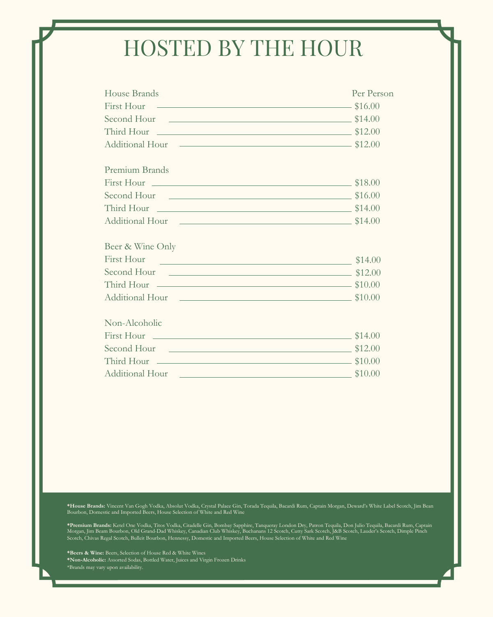# HOSTED BY THE HOUR

| House Brands                                                                                                                            | Per Person |
|-----------------------------------------------------------------------------------------------------------------------------------------|------------|
| First Hour $\sim$ \$16.00                                                                                                               |            |
| Second Hour<br><u> 1980 - Andrea Station Barbara, actor a component de la componentación de la componentación de la componentació</u>   | \$14.00    |
|                                                                                                                                         |            |
|                                                                                                                                         |            |
| <b>Premium Brands</b>                                                                                                                   |            |
| First Hour                                                                                                                              | \$18.00    |
|                                                                                                                                         | \$16.00    |
| Third Hour                                                                                                                              | \$14.00    |
| Additional Hour<br><u> 1989 - Johann Stein, marwolaethau a bhann an t-Amhair ann an t-Amhair an t-Amhair an t-Amhair an t-Amhair an</u> | \$14.00    |
| Beer & Wine Only                                                                                                                        |            |
| <b>First Hour</b>                                                                                                                       | \$14.00    |
| Second Hour<br><u> 1980 - Jan Samuel Barbara, martin a shekara tsara 1980 - An tsara 1980 - An tsara 1980 - An tsara 1980 - An t</u>    | \$12.00    |
| Third Hour                                                                                                                              | \$10.00    |
| Additional Hour<br><u> 1980 - Jan Samuel Barbara, martin a shekara tsara tsara tsara tsara tsara tsara tsara tsara tsara tsara tsar</u> | \$10.00    |
| Non-Alcoholic                                                                                                                           |            |
|                                                                                                                                         | \$14.00    |
| Second Hour                                                                                                                             | \$12.00    |
| Third Hour                                                                                                                              | \$10.00    |
| Additional Hour                                                                                                                         | \$10.00    |

**\*House Brands:** Vincent Van Gogh Vodka, Absolut Vodka, Crystal Palace Gin, Torada Tequila, Bacardi Rum, Captain Morgan, Deward's White Label Scotch, Jim Bean Bourbon, Domestic and Imported Beers, House Selection of White and Red Wine

**\*Premium Brands:** Ketel One Vodka, Titos Vodka, Citadelle Gin, Bombay Sapphire, Tanqueray London Dry, Patron Tequila, Don Julio Tequila, Bacardi Rum, Captain Morgan, Jim Beam Bourbon, Old Grand-Dad Whiskey, Canadian Club Whiskey, Buchanans 12 Scotch, Cutty Sark Scotch, J&B Scotch, Lauder's Scotch, Dimple Pinch Scotch, Chivas Regal Scotch, Bulleit Bourbon, Hennessy, Domestic and Imported Beers, House Selection of White and Red Wine

**\*Beers & Wine:** Beers, Selection of House Red & White Wines **\*Non-Alcoholic:** Assorted Sodas, Bottled Water, Juices and Virgin Frozen Drinks \*Brands may vary upon availability.